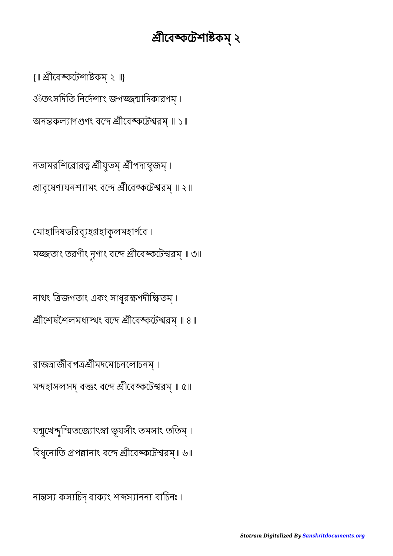নান্তস্য কস্যচিদ্ বাক্যং শব্দস্যানন্য বাচিনঃ ।

যন্মুখেন্দুস্মিতজ্যোৎস্না ভূযসীং তমসাং ততিম্। বিধুনোতি প্রপন্নানাং বন্দে শ্রীবেঙ্কটেশ্বরম্॥ ৬॥

রাজদ্রাজীবপত্রশ্রীমদমোচনলোচনম্। মন্দহাসলসদ্ বক্তুং বন্দে শ্রীবেঙ্কটেশ্বরম্ ॥ ৫॥

নাথং িজগতাং একং সাধুরণদীিতম্ । শ্রীশেষশৈলমধ্যস্থং বন্দে শ্রীবেঙ্কটেশ্বরম্ ॥ ৪॥

মাহািদষডিরবূহহাকুলমহাণেব । মজ্জতাং তরণীং নূণাং বন্দে শ্রীবেঙ্কটেশ্বরম্ ॥ ৩॥

প্রাবৃষেণ্যঘনশ্যামং বন্দে শ্রীবেঙ্কটেশ্বরম্॥ ২॥

নতামরশিরোরত্ন শ্রীযুতম্ শ্রীপদাম্বুজম্।

অনন্তকল্যাণগুণং বন্দে শ্রীবেঙ্কটেশ্বরম্ ॥ ১॥

ॐতৎসদিতি নির্দেশ্যং জগজ্জন্মাদিকারণম্ ।

{॥ ীেবেটশাকম্ ২ ॥}

## শ্ৰীবেঙ্কটেশাষ্টকম্ ২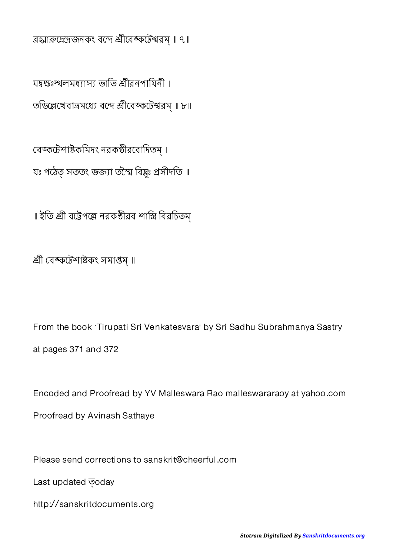ব্রহ্মারুদ্রেন্দ্রজনকং বন্দে শ্রীবেঙ্কটেশ্বরম্ ॥ ৭॥

যদ্বক্ষঃস্থালমধ্যাস্য ভাতি শ্রীরনপায়িনী। তডিল্লেখেবাভ্রমধ্যে বন্দে শ্রীবেঙ্কটেশ্বরম্ ॥ ৮॥

বেঙ্কটেশাষ্টকমিদং নরকষ্ঠীরবোদিতম্। যঃ পঠেত সততং ভক্ত্যা তম্মৈ বিষ্ণু প্ৰসীদতি ॥

॥ ইতি শ্রী বট্টেপল্লে নরকষ্ঠীরব শাস্ত্রি বিরচিতম্

শ্ৰী বেঙ্কটেশাষ্টকং সমাপ্তম্ ॥

From the book `Tirupati Sri Venkatesvara' by Sri Sadhu Subrahmanya Sastry at pages 371 and 372

Encoded and Proofread by YV Malleswara Rao malleswararaoy at yahoo.com

Proofread by Avinash Sathaye

Please send corrections to sanskrit@cheerful.com

Last updated  $\overline{\odot}$ oday

http://sanskritdocuments.org